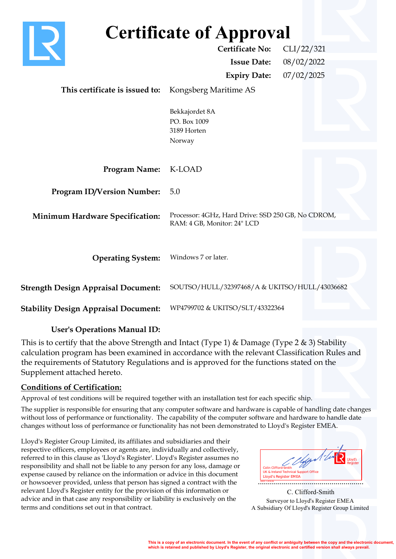| <b>Certificate of Approval</b>              |                                                                                   |  |
|---------------------------------------------|-----------------------------------------------------------------------------------|--|
|                                             | <b>Certificate No:</b><br>CLI/22/321                                              |  |
|                                             | <b>Issue Date:</b><br>08/02/2022                                                  |  |
|                                             | 07/02/2025<br><b>Expiry Date:</b>                                                 |  |
| This certificate is issued to:              | Kongsberg Maritime AS                                                             |  |
|                                             | Bekkajordet 8A<br>PO. Box 1009<br>3189 Horten<br>Norway                           |  |
| <b>Program Name:</b>                        | K-LOAD                                                                            |  |
| <b>Program ID/Version Number:</b>           | 5.0                                                                               |  |
| <b>Minimum Hardware Specification:</b>      | Processor: 4GHz, Hard Drive: SSD 250 GB, No CDROM,<br>RAM: 4 GB, Monitor: 24" LCD |  |
| <b>Operating System:</b>                    | Windows 7 or later.                                                               |  |
| <b>Strength Design Appraisal Document:</b>  | SOUTSO/HULL/32397468/A & UKITSO/HULL/43036682                                     |  |
| <b>Stability Design Appraisal Document:</b> | WP4799702 & UKITSO/SLT/43322364                                                   |  |

## **User's Operations Manual ID:**

This is to certify that the above Strength and Intact (Type 1) & Damage (Type 2 & 3) Stability calculation program has been examined in accordance with the relevant Classification Rules and the requirements of Statutory Regulations and is approved for the functions stated on the Supplement attached hereto.

## **Conditions of Certification:**

Approval of test conditions will be required together with an installation test for each specific ship.

The supplier is responsible for ensuring that any computer software and hardware is capable of handling date changes without loss of performance or functionality. The capability of the computer software and hardware to handle date changes without loss of performance or functionality has not been demonstrated to Lloyd's Register EMEA.

Lloyd's Register Group Limited, its affiliates and subsidiaries and their respective officers, employees or agents are, individually and collectively, referred to in this clause as 'Lloyd's Register'. Lloyd's Register assumes no responsibility and shall not be liable to any person for any loss, damage or expense caused by reliance on the information or advice in this document or howsoever provided, unless that person has signed a contract with the relevant Lloyd's Register entity for the provision of this information or advice and in that case any responsibility or liability is exclusively on the terms and conditions set out in that contract.

..................................................... **LR & Ireland Technical Support Officer**<br>**Colin Colin Colin Colin Colin Colin Colin Colin Colin Colin Colin Colin Colin Colin Colin Colin Colin Colin Coli** 

Surveyor to Lloyd's Register EMEA A Subsidiary Of Lloyd's Register Group Limited C. Clifford-Smith